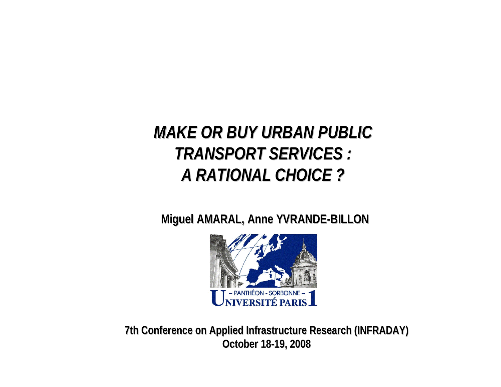## *MAKE OR BUY URBAN PUBLIC TRANSPORT SERVICES : TRANSPORT SERVICES : A RATIONAL CHOICE ? A RATIONAL CHOICE ?*

**Miguel AMARAL, Anne YVRANDE-BILLON** 



**7th Conference Conference on Applied Applied Infrastructure Infrastructure Research Research (INFRADAY) (INFRADAY) October October 18-19, 2008 19, 2008**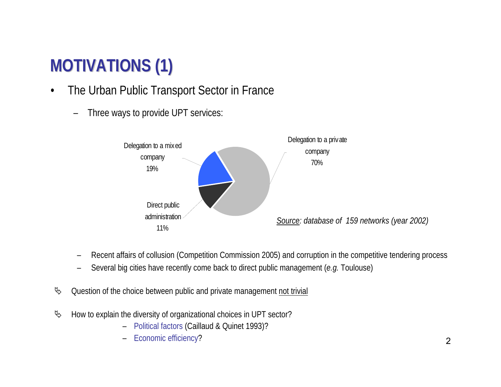# **MOTIVATIONS (1) MOTIVATIONS (1)**

- • The Urban Public Transport Sector in France
	- Three ways to provide UPT services:



- –Recent affairs of collusion (Competition Commission 2005) and corruption in the competitive tendering process
- –Several big cities have recently come back to direct public management (*e.g.* Toulouse)
- $\&$  Question of the choice between public and private management not trivial
- <sup> $4$ </sup> How to explain the diversity of organizational choices in UPT sector?
	- –Political factors (Caillaud & Quinet 1993)?
	- –Economic efficiency?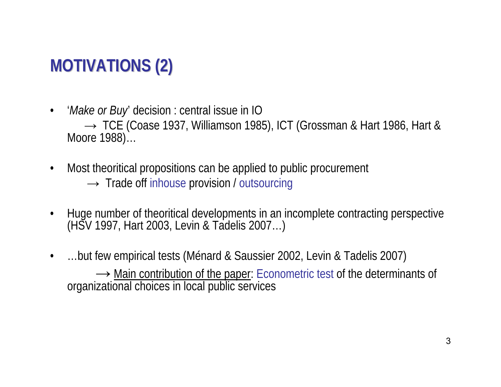# **MOTIVATIONS (2) MOTIVATIONS (2)**

- $\bullet$  '*Make or Buy*' decision : central issue in IO → TCE (Coase 1937, Williamson 1985), ICT (Grossman & Hart 1986, Hart & Moore 1988)…
- $\bullet$  Most theoritical propositions can be applied to public procurement  $\rightarrow$  Trade off inhouse provision / outsourcing
- •Huge number of theoritical developments in an incomplete contracting perspective (HSV 1997, Hart 2003, Levin & Tadelis 2007…)
- • …but few empirical tests (Ménard & Saussier 2002, Levin & Tadelis 2007) → Main contribution of the paper: Econometric test of the determinants of organizational choices in local public services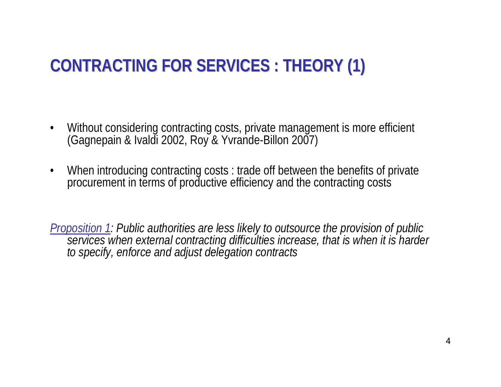# **CONTRACTING FOR SERVICES : THEORY (1) CONTRACTING FOR SERVICES : THEORY (1)**

- •Without considering contracting costs, private management is more efficient (Gagnepain & Ivaldi 2002, Roy & Yvrande-Billon 2007)
- • When introducing contracting costs : trade off between the benefits of private procurement in terms of productive efficiency and the contracting costs

*Proposition 1: Public authorities are less likely to outsource the provision of public services when external contracting difficulties increase, that is when it is harder to specify, enforce and adjust delegation contracts*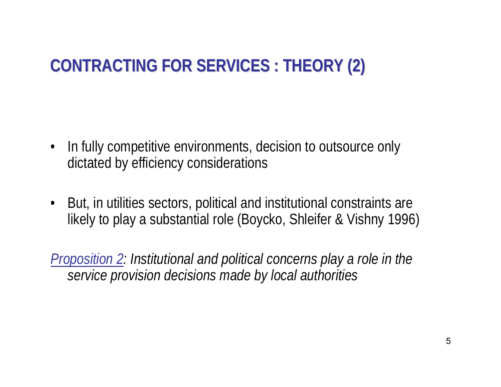# **CONTRACTING FOR SERVICES : THEORY (2) CONTRACTING FOR SERVICES : THEORY (2)**

- In fully competitive environments, decision to outsource only dictated by efficiency considerations
- • But, in utilities sectors, political and institutional constraints are likely to play a substantial role (Boycko, Shleifer & Vishny 1996)

*Proposition 2: Institutional and political concerns play a role in the service provision decisions made by local authorities*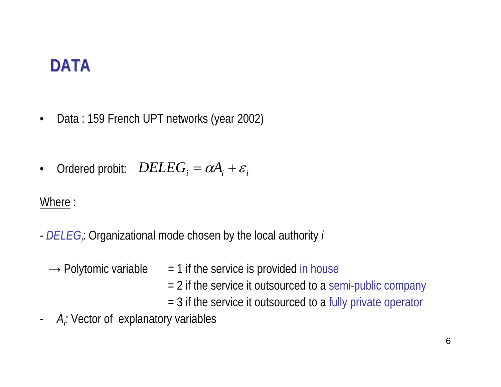- $\bullet$ Data : 159 French UPT networks (year 2002)
- $\bullet$ Ordered probit:  $DELEG_{i} = \alpha A_{i} + \varepsilon_{i}$

Where :

- *-DELEGi*: Organizational mode chosen by the local authority *i*
- → Polytomic variable  $= 1$  if the service is provided in house = 2 if the service it outsourced to a semi-public company = 3 if the service it outsourced to a fully private operator
- -A<sub>i</sub>: Vector of explanatory variables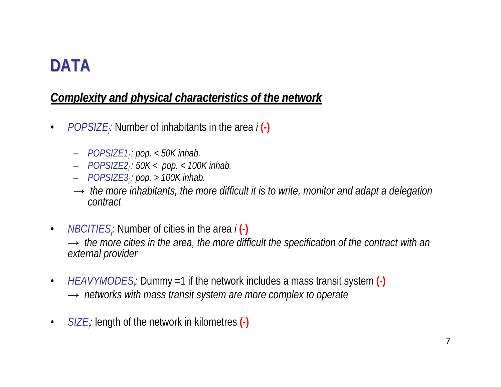#### *Complexity and physical characteristics of the network Complexity and physical characteristics of the network*

- $\bullet$ *POPSIZE<sub>i</sub>*: Number of inhabitants in the area *i*(-)
	- *POPSIZE1i : pop. < 50K inhab.*
	- *POPSIZE2i : 50K < pop. < 100K inhab.*
	- *POPSIZE3i : pop. > 100K inhab.*
	- *→ the more inhabitants, the more difficult it is to write, monitor and adapt a delegation contract*
- $\bullet$ *NBCITIES<sub>i</sub>:* Number of cities in the area *i*(-) *→ the more cities in the area, the more difficult the specification of the contract with an external provider*
- $\bullet$ *HEAVYMODES<sub>i</sub>:* Dummy =1 if the network includes a mass transit system (-) *→ networks with mass transit system are more complex to operate*
- $\bullet$ *SIZEi:* length of the network in kilometres **(-)**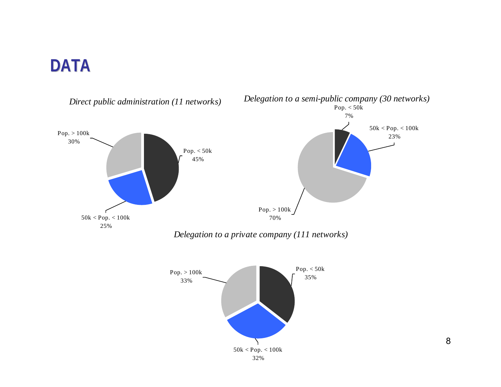

8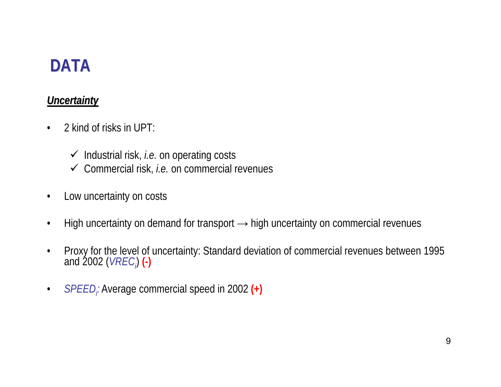#### *Uncertainty Uncertainty*

- $\bullet$  2 kind of risks in UPT:
	- 9 Industrial risk, *i.e.* on operating costs
	- 9 Commercial risk, *i.e.* on commercial revenues
- $\bullet$ Low uncertainty on costs
- •High uncertainty on demand for transport  $\rightarrow$  high uncertainty on commercial revenues
- $\bullet$ Proxy for the level of uncertainty: Standard deviation of commercial revenues between 1995 and 2002 (*VREC*<sub></sub>) (-)
- $\bullet$ *SPEEDi:* Average commercial speed in 2002 **(+)**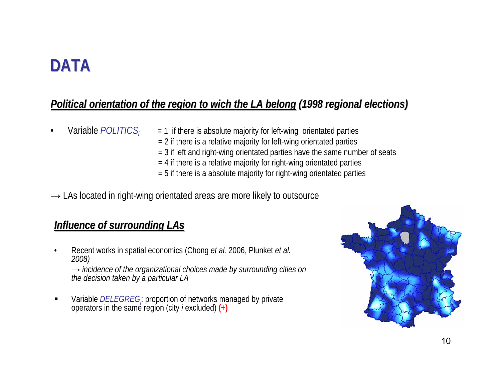#### *Political Political orientation of the orientation of the region to wich the LA belong (1998 regional regional elections elections)*

- •Variable *POLITICSi*
- $= 1$  if there is absolute majority for left-wing orientated parties
- $= 2$  if there is a relative majority for left-wing orientated parties
- = 3 if left and right-wing orientated parties have the same number of seats
- $= 4$  if there is a relative majority for right-wing orientated parties
- $=$  5 if there is a absolute majority for right-wing orientated parties
- $\rightarrow$  LAs located in right-wing orientated areas are more likely to outsource

#### *Influence of surrounding LAs*

- • Recent works in spatial economics (Chong *et al.* 2006, Plunket *et al. 2008) → incidence of the organizational choices made by surrounding cities on the decision taken by a particular LA*
- Variable *DELEGREGi*: proportion of networks managed by private operators in the same region (city *<sup>i</sup>* excluded) **(+)**

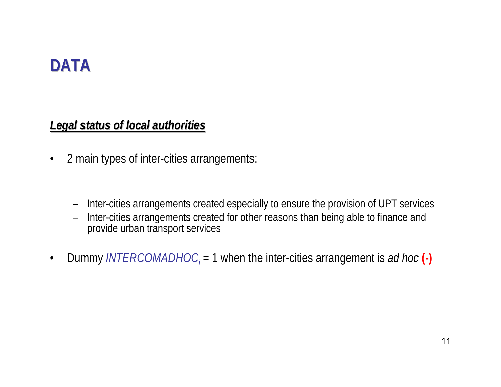#### *Legal status of local of local authorities authorities*

- • 2 main types of inter-cities arrangements:
	- –Inter-cities arrangements created especially to ensure the provision of UPT services
	- – Inter-cities arrangements created for other reasons than being able to finance and provide urban transport services
- •Dummy *INTERCOMADHOC*<sub>*i*</sub> = 1 when the inter-cities arrangement is *ad hoc* (-)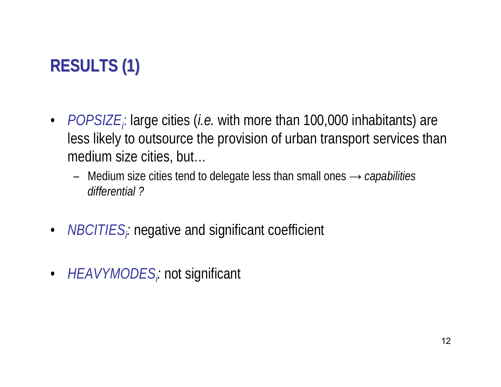# **RESULTS (1) RESULTS (1)**

- *POPSIZE<sub>i</sub>*: large cities (*i.e.* with more than 100,000 inhabitants) are less likely to outsource the provision of urban transport services than medium size cities, but…
	- Medium size cities tend to delegate less than small ones *<sup>→</sup> capabilities differential ?*
- •*NBCITIES<sub>i</sub>:* negative and significant coefficient
- *HEAVYMODES<sub>i</sub>:* not significant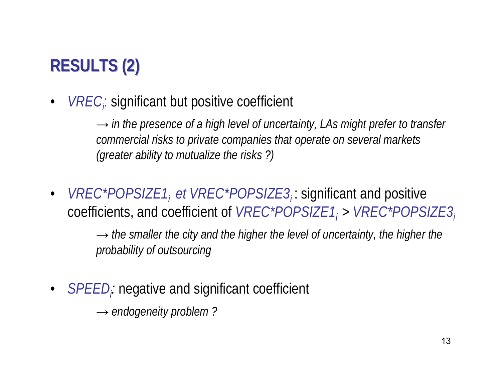# **RESULTS (2) RESULTS (2)**

•*VRECi*: significant but positive coefficient

> *→ in the presence of a high level of uncertainty, LAs might prefer to transfer commercial risks to private companies that operate on several markets (greater ability to mutualize the risks ?)*

•*VREC\*POPSIZE1, et VREC\*POPSIZE3<sub>i</sub>:* significant and positive coefficients, and coefficient of *VREC\*POPSIZE1i* <sup>&</sup>gt; *VREC\*POPSIZE3i*

> *→ the smaller the city and the higher the level of uncertainty, the higher the probability of outsourcing*

•*SPEEDi:* negative and significant coefficient

→ *endogeneity problem ?*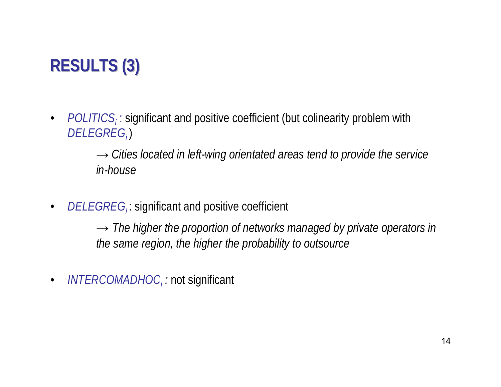# **RESULTS (3) RESULTS (3)**

 $\bullet$ • *POLITICS<sub>i</sub>*: significant and positive coefficient (but colinearity problem with *DELEGREGi* )

> *→ Cities located in left-wing orientated areas tend to provide the service in-house*

 $\bullet$ • *DELEGREG<sub>i</sub>*: significant and positive coefficient

> *→ The higher the proportion of networks managed by private operators in the same region, the higher the probability to outsource*

•*INTERCOMADHOCi :* not significant